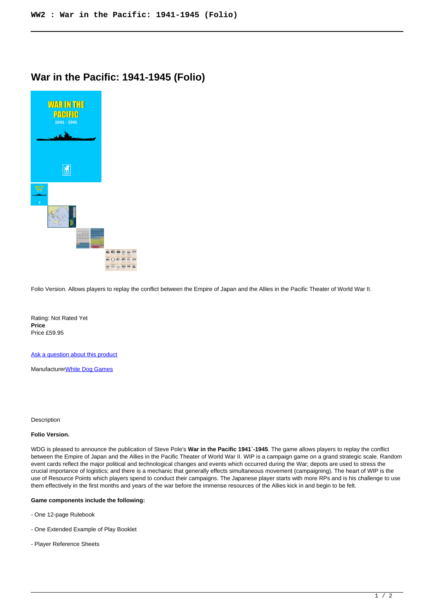## **War in the Pacific: 1941-1945 (Folio)**



Folio Version. Allows players to replay the conflict between the Empire of Japan and the Allies in the Pacific Theater of World War II.

Rating: Not Rated Yet **Price**  Price £59.95

[Ask a question about this product](https://www.secondchancegames.com/index.php?option=com_virtuemart&view=productdetails&task=askquestion&virtuemart_product_id=10960&virtuemart_category_id=5&tmpl=component)

Manufacturer[White Dog Games](https://www.secondchancegames.com/index.php?option=com_virtuemart&view=manufacturer&virtuemart_manufacturer_id=3059&tmpl=component)

**Description** 

## **Folio Version.**

WDG is pleased to announce the publication of Steve Pole's **War in the Pacific 1941`-1945**. The game allows players to replay the conflict between the Empire of Japan and the Allies in the Pacific Theater of World War II. WIP is a campaign game on a grand strategic scale. Random event cards reflect the major political and technological changes and events which occurred during the War; depots are used to stress the crucial importance of logistics; and there is a mechanic that generally effects simultaneous movement (campaigning). The heart of WIP is the use of Resource Points which players spend to conduct their campaigns. The Japanese player starts with more RPs and is his challenge to use them effectively in the first months and years of the war before the immense resources of the Allies kick in and begin to be felt.

## **Game components include the following:**

- One 12-page Rulebook
- One Extended Example of Play Booklet
- Player Reference Sheets